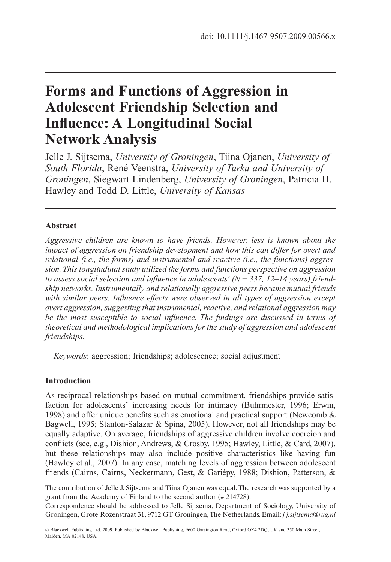# **Forms and Functions of Aggression in Adolescent Friendship Selection and Influence: A Longitudinal Social Network Analysis**

Jelle J. Sijtsema, *University of Groningen*, Tiina Ojanen, *University of South Florida*, René Veenstra, *University of Turku and University of Groningen*, Siegwart Lindenberg, *University of Groningen*, Patricia H. Hawley and Todd D. Little, *University of Kansas*

# **Abstract**

*Aggressive children are known to have friends. However, less is known about the impact of aggression on friendship development and how this can differ for overt and relational (i.e., the forms) and instrumental and reactive (i.e., the functions) aggression. This longitudinal study utilized the forms and functions perspective on aggression to assess social selection and influence in adolescents' (N* = *337, 12–14 years) friendship networks. Instrumentally and relationally aggressive peers became mutual friends with similar peers. Influence effects were observed in all types of aggression except overt aggression, suggesting that instrumental, reactive, and relational aggression may be the most susceptible to social influence. The findings are discussed in terms of theoretical and methodological implications for the study of aggression and adolescent friendships.*

*Keywords*: aggression; friendships; adolescence; social adjustment

# **Introduction**

As reciprocal relationships based on mutual commitment, friendships provide satisfaction for adolescents' increasing needs for intimacy (Buhrmester, 1996; Erwin, 1998) and offer unique benefits such as emotional and practical support (Newcomb & Bagwell, 1995; Stanton-Salazar & Spina, 2005). However, not all friendships may be equally adaptive. On average, friendships of aggressive children involve coercion and conflicts (see, e.g., Dishion, Andrews, & Crosby, 1995; Hawley, Little, & Card, 2007), but these relationships may also include positive characteristics like having fun (Hawley et al., 2007). In any case, matching levels of aggression between adolescent friends (Cairns, Cairns, Neckermann, Gest, & Gariépy, 1988; Dishion, Patterson, &

The contribution of Jelle J. Sijtsema and Tiina Ojanen was equal. The research was supported by a grant from the Academy of Finland to the second author (# 214728).

Correspondence should be addressed to Jelle Sijtsema, Department of Sociology, University of Groningen, Grote Rozenstraat 31, 9712 GT Groningen,The Netherlands. Email: *j.j.sijtsema@rug.nl*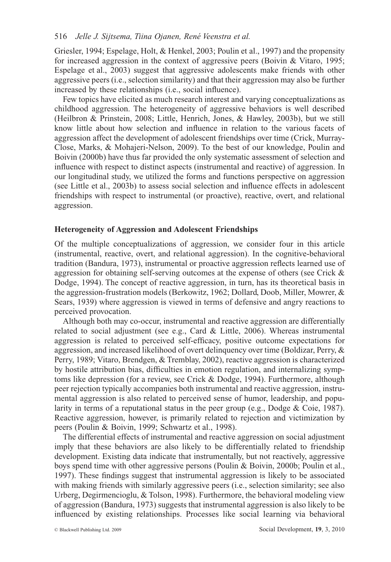Griesler, 1994; Espelage, Holt, & Henkel, 2003; Poulin et al., 1997) and the propensity for increased aggression in the context of aggressive peers (Boivin & Vitaro, 1995; Espelage et al., 2003) suggest that aggressive adolescents make friends with other aggressive peers (i.e., selection similarity) and that their aggression may also be further increased by these relationships (i.e., social influence).

Few topics have elicited as much research interest and varying conceptualizations as childhood aggression. The heterogeneity of aggressive behaviors is well described (Heilbron & Prinstein, 2008; Little, Henrich, Jones, & Hawley, 2003b), but we still know little about how selection and influence in relation to the various facets of aggression affect the development of adolescent friendships over time (Crick, Murray-Close, Marks, & Mohajeri-Nelson, 2009). To the best of our knowledge, Poulin and Boivin (2000b) have thus far provided the only systematic assessment of selection and influence with respect to distinct aspects (instrumental and reactive) of aggression. In our longitudinal study, we utilized the forms and functions perspective on aggression (see Little et al., 2003b) to assess social selection and influence effects in adolescent friendships with respect to instrumental (or proactive), reactive, overt, and relational aggression.

# **Heterogeneity of Aggression and Adolescent Friendships**

Of the multiple conceptualizations of aggression, we consider four in this article (instrumental, reactive, overt, and relational aggression). In the cognitive-behavioral tradition (Bandura, 1973), instrumental or proactive aggression reflects learned use of aggression for obtaining self-serving outcomes at the expense of others (see Crick & Dodge, 1994). The concept of reactive aggression, in turn, has its theoretical basis in the aggression-frustration models (Berkowitz, 1962; Dollard, Doob, Miller, Mowrer, & Sears, 1939) where aggression is viewed in terms of defensive and angry reactions to perceived provocation.

Although both may co-occur, instrumental and reactive aggression are differentially related to social adjustment (see e.g., Card  $&$  Little, 2006). Whereas instrumental aggression is related to perceived self-efficacy, positive outcome expectations for aggression, and increased likelihood of overt delinquency over time (Boldizar, Perry, & Perry, 1989; Vitaro, Brendgen, & Tremblay, 2002), reactive aggression is characterized by hostile attribution bias, difficulties in emotion regulation, and internalizing symptoms like depression (for a review, see Crick & Dodge, 1994). Furthermore, although peer rejection typically accompanies both instrumental and reactive aggression, instrumental aggression is also related to perceived sense of humor, leadership, and popularity in terms of a reputational status in the peer group (e.g., Dodge  $& Coie, 1987$ ). Reactive aggression, however, is primarily related to rejection and victimization by peers (Poulin & Boivin, 1999; Schwartz et al., 1998).

The differential effects of instrumental and reactive aggression on social adjustment imply that these behaviors are also likely to be differentially related to friendship development. Existing data indicate that instrumentally, but not reactively, aggressive boys spend time with other aggressive persons (Poulin & Boivin, 2000b; Poulin et al., 1997). These findings suggest that instrumental aggression is likely to be associated with making friends with similarly aggressive peers (i.e., selection similarity; see also Urberg, Degirmencioglu, & Tolson, 1998). Furthermore, the behavioral modeling view of aggression (Bandura, 1973) suggests that instrumental aggression is also likely to be influenced by existing relationships. Processes like social learning via behavioral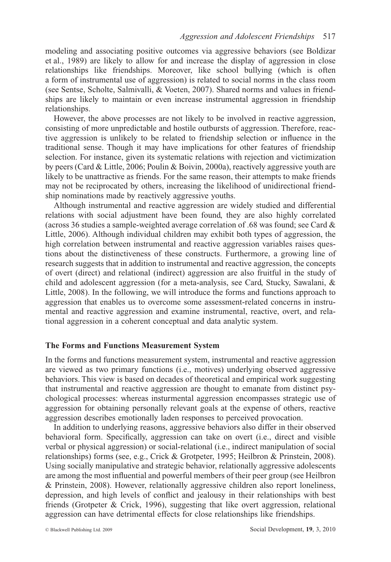modeling and associating positive outcomes via aggressive behaviors (see Boldizar et al., 1989) are likely to allow for and increase the display of aggression in close relationships like friendships. Moreover, like school bullying (which is often a form of instrumental use of aggression) is related to social norms in the class room (see Sentse, Scholte, Salmivalli, & Voeten, 2007). Shared norms and values in friendships are likely to maintain or even increase instrumental aggression in friendship relationships.

However, the above processes are not likely to be involved in reactive aggression, consisting of more unpredictable and hostile outbursts of aggression. Therefore, reactive aggression is unlikely to be related to friendship selection or influence in the traditional sense. Though it may have implications for other features of friendship selection. For instance, given its systematic relations with rejection and victimization by peers (Card & Little, 2006; Poulin & Boivin, 2000a), reactively aggressive youth are likely to be unattractive as friends. For the same reason, their attempts to make friends may not be reciprocated by others, increasing the likelihood of unidirectional friendship nominations made by reactively aggressive youths.

Although instrumental and reactive aggression are widely studied and differential relations with social adjustment have been found, they are also highly correlated (across 36 studies a sample-weighted average correlation of .68 was found; see Card & Little, 2006). Although individual children may exhibit both types of aggression, the high correlation between instrumental and reactive aggression variables raises questions about the distinctiveness of these constructs. Furthermore, a growing line of research suggests that in addition to instrumental and reactive aggression, the concepts of overt (direct) and relational (indirect) aggression are also fruitful in the study of child and adolescent aggression (for a meta-analysis, see Card, Stucky, Sawalani, & Little, 2008). In the following, we will introduce the forms and functions approach to aggression that enables us to overcome some assessment-related concerns in instrumental and reactive aggression and examine instrumental, reactive, overt, and relational aggression in a coherent conceptual and data analytic system.

#### **The Forms and Functions Measurement System**

In the forms and functions measurement system, instrumental and reactive aggression are viewed as two primary functions (i.e., motives) underlying observed aggressive behaviors. This view is based on decades of theoretical and empirical work suggesting that instrumental and reactive aggression are thought to emanate from distinct psychological processes: whereas insturmental aggression encompasses strategic use of aggression for obtaining personally relevant goals at the expense of others, reactive aggression describes emotionally laden responses to perceived provocation.

In addition to underlying reasons, aggressive behaviors also differ in their observed behavioral form. Specifically, aggression can take on overt (i.e., direct and visible verbal or physical aggression) or social-relational (i.e., indirect manipulation of social relationships) forms (see, e.g., Crick & Grotpeter, 1995; Heilbron & Prinstein, 2008). Using socially manipulative and strategic behavior, relationally aggressive adolescents are among the most influential and powerful members of their peer group (see Heilbron & Prinstein, 2008). However, relationally aggressive children also report loneliness, depression, and high levels of conflict and jealousy in their relationships with best friends (Grotpeter & Crick, 1996), suggesting that like overt aggression, relational aggression can have detrimental effects for close relationships like friendships.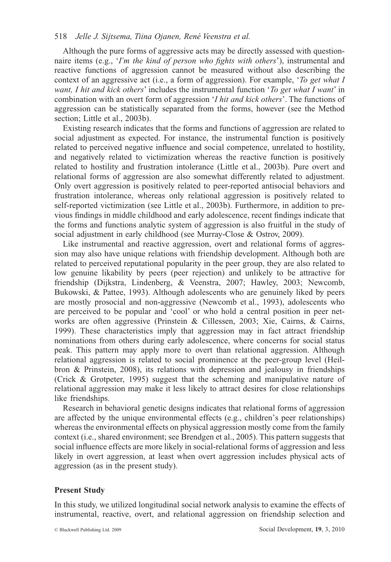Although the pure forms of aggressive acts may be directly assessed with questionnaire items (e.g., '*I'm the kind of person who fights with others*'), instrumental and reactive functions of aggression cannot be measured without also describing the context of an aggressive act (i.e., a form of aggression). For example, '*To get what I want, I hit and kick others*' includes the instrumental function '*To get what I want*' in combination with an overt form of aggression '*I hit and kick others*'. The functions of aggression can be statistically separated from the forms, however (see the Method section; Little et al., 2003b).

Existing research indicates that the forms and functions of aggression are related to social adjustment as expected. For instance, the instrumental function is positively related to perceived negative influence and social competence, unrelated to hostility, and negatively related to victimization whereas the reactive function is positively related to hostility and frustration intolerance (Little et al., 2003b). Pure overt and relational forms of aggression are also somewhat differently related to adjustment. Only overt aggression is positively related to peer-reported antisocial behaviors and frustration intolerance, whereas only relational aggression is positively related to self-reported victimization (see Little et al., 2003b). Furthermore, in addition to previous findings in middle childhood and early adolescence, recent findings indicate that the forms and functions analytic system of aggression is also fruitful in the study of social adjustment in early childhood (see Murray-Close & Ostrov, 2009).

Like instrumental and reactive aggression, overt and relational forms of aggression may also have unique relations with friendship development. Although both are related to perceived reputational popularity in the peer group, they are also related to low genuine likability by peers (peer rejection) and unlikely to be attractive for friendship (Dijkstra, Lindenberg, & Veenstra, 2007; Hawley, 2003; Newcomb, Bukowski, & Pattee, 1993). Although adolescents who are genuinely liked by peers are mostly prosocial and non-aggressive (Newcomb et al., 1993), adolescents who are perceived to be popular and 'cool' or who hold a central position in peer networks are often aggressive (Prinstein & Cillessen, 2003; Xie, Cairns, & Cairns, 1999). These characteristics imply that aggression may in fact attract friendship nominations from others during early adolescence, where concerns for social status peak. This pattern may apply more to overt than relational aggression. Although relational aggression is related to social prominence at the peer-group level (Heilbron & Prinstein, 2008), its relations with depression and jealousy in friendships (Crick & Grotpeter, 1995) suggest that the scheming and manipulative nature of relational aggression may make it less likely to attract desires for close relationships like friendships.

Research in behavioral genetic designs indicates that relational forms of aggression are affected by the unique environmental effects (e.g., children's peer relationships) whereas the environmental effects on physical aggression mostly come from the family context (i.e., shared environment; see Brendgen et al., 2005). This pattern suggests that social influence effects are more likely in social-relational forms of aggression and less likely in overt aggression, at least when overt aggression includes physical acts of aggression (as in the present study).

## **Present Study**

In this study, we utilized longitudinal social network analysis to examine the effects of instrumental, reactive, overt, and relational aggression on friendship selection and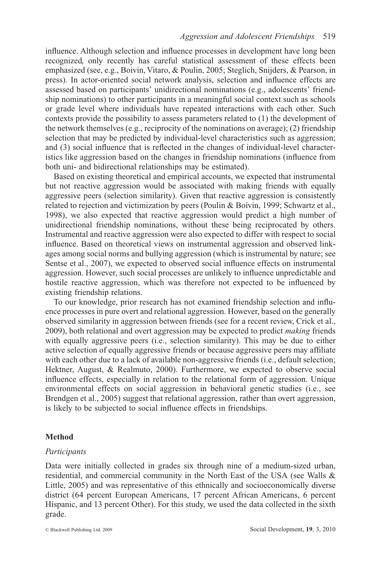influence. Although selection and influence processes in development have long been recognized, only recently has careful statistical assessment of these effects been emphasized (see, e.g., Boivin, Vitaro, & Poulin, 2005; Steglich, Snijders, & Pearson, in press). In actor-oriented social network analysis, selection and influence effects are assessed based on participants' unidirectional nominations (e.g., adolescents' friendship nominations) to other participants in a meaningful social context such as schools or grade level where individuals have repeated interactions with each other. Such contexts provide the possibility to assess parameters related to (1) the development of the network themselves (e.g., reciprocity of the nominations on average); (2) friendship selection that may be predicted by individual-level characteristics such as aggression; and (3) social influence that is reflected in the changes of individual-level characteristics like aggression based on the changes in friendship nominations (influence from both uni- and bidirectional relationships may be estimated).

Based on existing theoretical and empirical accounts, we expected that instrumental but not reactive aggression would be associated with making friends with equally aggressive peers (selection similarity). Given that reactive aggression is consistently related to rejection and victimization by peers (Poulin & Boivin, 1999; Schwartz et al., 1998), we also expected that reactive aggression would predict a high number of unidirectional friendship nominations, without these being reciprocated by others. Instrumental and reactive aggression were also expected to differ with respect to social influence. Based on theoretical views on instrumental aggression and observed linkages among social norms and bullying aggression (which is instrumental by nature; see Sentse et al., 2007), we expected to observed social influence effects on instrumental aggression. However, such social processes are unlikely to influence unpredictable and hostile reactive aggression, which was therefore not expected to be influenced by existing friendship relations.

To our knowledge, prior research has not examined friendship selection and influence processes in pure overt and relational aggression. However, based on the generally observed similarity in aggression between friends (see for a recent review, Crick et al., 2009), both relational and overt aggression may be expected to predict *making* friends with equally aggressive peers (i.e., selection similarity). This may be due to either active selection of equally aggressive friends or because aggressive peers may affiliate with each other due to a lack of available non-aggressive friends (i.e., default selection; Hektner, August, & Realmuto, 2000). Furthermore, we expected to observe social influence effects, especially in relation to the relational form of aggression. Unique environmental effects on social aggression in behavioral genetic studies (i.e., see Brendgen et al., 2005) suggest that relational aggression, rather than overt aggression, is likely to be subjected to social influence effects in friendships.

#### **Method**

#### *Participants*

Data were initially collected in grades six through nine of a medium-sized urban, residential, and commercial community in the North East of the USA (see Walls & Little, 2005) and was representative of this ethnically and socioeconomically diverse district (64 percent European Americans, 17 percent African Americans, 6 percent Hispanic, and 13 percent Other). For this study, we used the data collected in the sixth grade.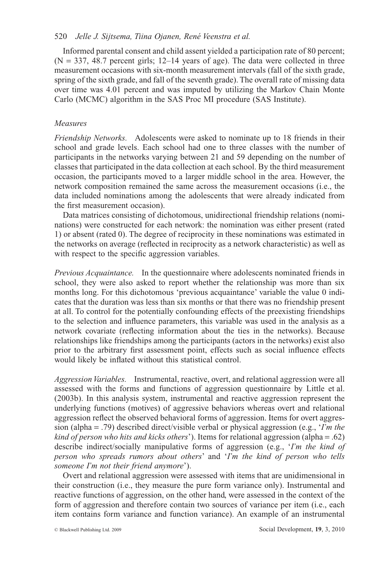Informed parental consent and child assent yielded a participation rate of 80 percent;  $(N = 337, 48.7$  percent girls; 12–14 years of age). The data were collected in three measurement occasions with six-month measurement intervals (fall of the sixth grade, spring of the sixth grade, and fall of the seventh grade). The overall rate of missing data over time was 4.01 percent and was imputed by utilizing the Markov Chain Monte Carlo (MCMC) algorithm in the SAS Proc MI procedure (SAS Institute).

#### *Measures*

*Friendship Networks.* Adolescents were asked to nominate up to 18 friends in their school and grade levels. Each school had one to three classes with the number of participants in the networks varying between 21 and 59 depending on the number of classes that participated in the data collection at each school. By the third measurement occasion, the participants moved to a larger middle school in the area. However, the network composition remained the same across the measurement occasions (i.e., the data included nominations among the adolescents that were already indicated from the first measurement occasion).

Data matrices consisting of dichotomous, unidirectional friendship relations (nominations) were constructed for each network: the nomination was either present (rated 1) or absent (rated 0). The degree of reciprocity in these nominations was estimated in the networks on average (reflected in reciprocity as a network characteristic) as well as with respect to the specific aggression variables.

*Previous Acquaintance.* In the questionnaire where adolescents nominated friends in school, they were also asked to report whether the relationship was more than six months long. For this dichotomous 'previous acquaintance' variable the value 0 indicates that the duration was less than six months or that there was no friendship present at all. To control for the potentially confounding effects of the preexisting friendships to the selection and influence parameters, this variable was used in the analysis as a network covariate (reflecting information about the ties in the networks). Because relationships like friendships among the participants (actors in the networks) exist also prior to the arbitrary first assessment point, effects such as social influence effects would likely be inflated without this statistical control.

*Aggression Variables.* Instrumental, reactive, overt, and relational aggression were all assessed with the forms and functions of aggression questionnaire by Little et al. (2003b). In this analysis system, instrumental and reactive aggression represent the underlying functions (motives) of aggressive behaviors whereas overt and relational aggression reflect the observed behavioral forms of aggression. Items for overt aggression (alpha = .79) described direct/visible verbal or physical aggression (e.g., '*I'm the kind of person who hits and kicks others*'). Items for relational aggression (alpha = .62) describe indirect/socially manipulative forms of aggression (e.g., '*I'm the kind of person who spreads rumors about others*' and '*I'm the kind of person who tells someone I'm not their friend anymore*').

Overt and relational aggression were assessed with items that are unidimensional in their construction (i.e., they measure the pure form variance only). Instrumental and reactive functions of aggression, on the other hand, were assessed in the context of the form of aggression and therefore contain two sources of variance per item (i.e., each item contains form variance and function variance). An example of an instrumental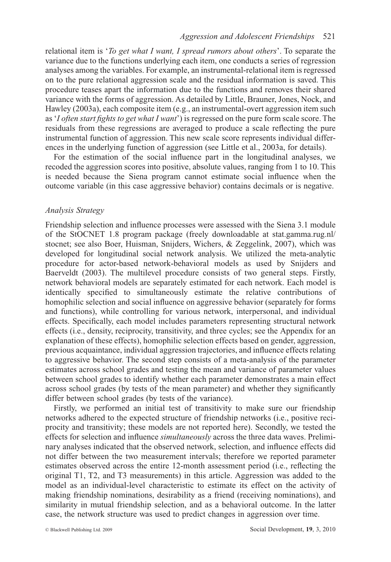relational item is '*To get what I want, I spread rumors about others*'. To separate the variance due to the functions underlying each item, one conducts a series of regression analyses among the variables. For example, an instrumental-relational item is regressed on to the pure relational aggression scale and the residual information is saved. This procedure teases apart the information due to the functions and removes their shared variance with the forms of aggression. As detailed by Little, Brauner, Jones, Nock, and Hawley (2003a), each composite item (e.g., an instrumental-overt aggression item such as '*I often start fights to get what I want*') is regressed on the pure form scale score. The residuals from these regressions are averaged to produce a scale reflecting the pure instrumental function of aggression. This new scale score represents individual differences in the underlying function of aggression (see Little et al., 2003a, for details).

For the estimation of the social influence part in the longitudinal analyses, we recoded the aggression scores into positive, absolute values, ranging from 1 to 10. This is needed because the Siena program cannot estimate social influence when the outcome variable (in this case aggressive behavior) contains decimals or is negative.

#### *Analysis Strategy*

Friendship selection and influence processes were assessed with the Siena 3.1 module of the StOCNET 1.8 program package (freely downloadable at stat.gamma.rug.nl/ stocnet; see also Boer, Huisman, Snijders, Wichers, & Zeggelink, 2007), which was developed for longitudinal social network analysis. We utilized the meta-analytic procedure for actor-based network-behavioral models as used by Snijders and Baerveldt (2003). The multilevel procedure consists of two general steps. Firstly, network behavioral models are separately estimated for each network. Each model is identically specified to simultaneously estimate the relative contributions of homophilic selection and social influence on aggressive behavior (separately for forms and functions), while controlling for various network, interpersonal, and individual effects. Specifically, each model includes parameters representing structural network effects (i.e., density, reciprocity, transitivity, and three cycles; see the Appendix for an explanation of these effects), homophilic selection effects based on gender, aggression, previous acquaintance, individual aggression trajectories, and influence effects relating to aggressive behavior. The second step consists of a meta-analysis of the parameter estimates across school grades and testing the mean and variance of parameter values between school grades to identify whether each parameter demonstrates a main effect across school grades (by tests of the mean parameter) and whether they significantly differ between school grades (by tests of the variance).

Firstly, we performed an initial test of transitivity to make sure our friendship networks adhered to the expected structure of friendship networks (i.e., positive reciprocity and transitivity; these models are not reported here). Secondly, we tested the effects for selection and influence *simultaneously* across the three data waves. Preliminary analyses indicated that the observed network, selection, and influence effects did not differ between the two measurement intervals; therefore we reported parameter estimates observed across the entire 12-month assessment period (i.e., reflecting the original T1, T2, and T3 measurements) in this article. Aggression was added to the model as an individual-level characteristic to estimate its effect on the activity of making friendship nominations, desirability as a friend (receiving nominations), and similarity in mutual friendship selection, and as a behavioral outcome. In the latter case, the network structure was used to predict changes in aggression over time.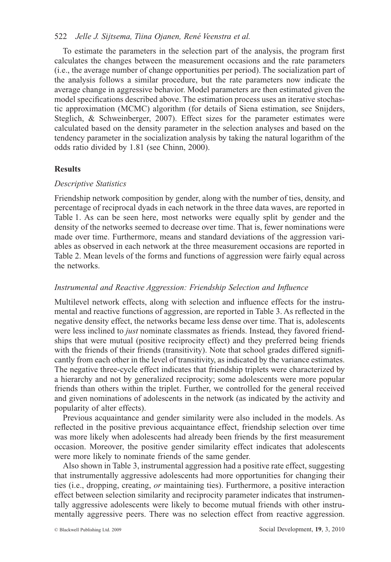To estimate the parameters in the selection part of the analysis, the program first calculates the changes between the measurement occasions and the rate parameters (i.e., the average number of change opportunities per period). The socialization part of the analysis follows a similar procedure, but the rate parameters now indicate the average change in aggressive behavior. Model parameters are then estimated given the model specifications described above. The estimation process uses an iterative stochastic approximation (MCMC) algorithm (for details of Siena estimation, see Snijders, Steglich, & Schweinberger, 2007). Effect sizes for the parameter estimates were calculated based on the density parameter in the selection analyses and based on the tendency parameter in the socialization analysis by taking the natural logarithm of the odds ratio divided by 1.81 (see Chinn, 2000).

## **Results**

#### *Descriptive Statistics*

Friendship network composition by gender, along with the number of ties, density, and percentage of reciprocal dyads in each network in the three data waves, are reported in Table 1. As can be seen here, most networks were equally split by gender and the density of the networks seemed to decrease over time. That is, fewer nominations were made over time. Furthermore, means and standard deviations of the aggression variables as observed in each network at the three measurement occasions are reported in Table 2. Mean levels of the forms and functions of aggression were fairly equal across the networks.

## *Instrumental and Reactive Aggression: Friendship Selection and Influence*

Multilevel network effects, along with selection and influence effects for the instrumental and reactive functions of aggression, are reported in Table 3. As reflected in the negative density effect, the networks became less dense over time. That is, adolescents were less inclined to *just* nominate classmates as friends. Instead, they favored friendships that were mutual (positive reciprocity effect) and they preferred being friends with the friends of their friends (transitivity). Note that school grades differed significantly from each other in the level of transitivity, as indicated by the variance estimates. The negative three-cycle effect indicates that friendship triplets were characterized by a hierarchy and not by generalized reciprocity; some adolescents were more popular friends than others within the triplet. Further, we controlled for the general received and given nominations of adolescents in the network (as indicated by the activity and popularity of alter effects).

Previous acquaintance and gender similarity were also included in the models. As reflected in the positive previous acquaintance effect, friendship selection over time was more likely when adolescents had already been friends by the first measurement occasion. Moreover, the positive gender similarity effect indicates that adolescents were more likely to nominate friends of the same gender.

Also shown in Table 3, instrumental aggression had a positive rate effect, suggesting that instrumentally aggressive adolescents had more opportunities for changing their ties (i.e., dropping, creating, *or* maintaining ties). Furthermore, a positive interaction effect between selection similarity and reciprocity parameter indicates that instrumentally aggressive adolescents were likely to become mutual friends with other instrumentally aggressive peers. There was no selection effect from reactive aggression.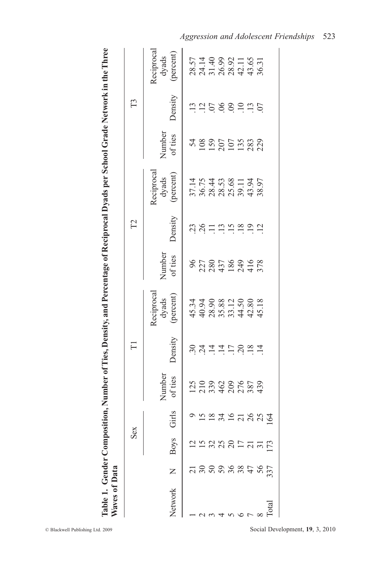Table 1. Gender Composition, Number of Ties, Density, and Percentage of Reciprocal Dyads per School Grade Network in the Three Table 1. Gender Composition, Number of Ties, Density, and Percentage of Reciprocal Dyads per School Grade Network in the Three Waves of Data **Waves of Data**

| Z           | Boys Girls<br>$S$ ex |             | Vumber<br>of ties        | Density<br>$\overline{\Box}$ | Reciprocal<br>dyads<br>(percent)                                                               | Number<br>of ties | Density<br>$\Gamma$ 2 | Reciprocal<br>dyads<br>(percent)             | Number<br>of ties        | Density<br>$\mathbb{E}$ | leciproca<br>dyads<br>percent)                      |
|-------------|----------------------|-------------|--------------------------|------------------------------|------------------------------------------------------------------------------------------------|-------------------|-----------------------|----------------------------------------------|--------------------------|-------------------------|-----------------------------------------------------|
|             |                      |             |                          |                              |                                                                                                |                   |                       |                                              |                          |                         |                                                     |
|             |                      |             |                          | 84777                        |                                                                                                |                   |                       |                                              |                          | $\overline{c}$          |                                                     |
|             |                      |             |                          |                              |                                                                                                |                   |                       |                                              |                          |                         |                                                     |
|             |                      |             |                          |                              |                                                                                                |                   |                       |                                              |                          |                         |                                                     |
|             |                      |             |                          |                              |                                                                                                |                   |                       |                                              |                          |                         |                                                     |
|             |                      |             |                          |                              |                                                                                                |                   |                       |                                              |                          |                         |                                                     |
| 19888577775 |                      | 18246184191 | 123342252343<br>12342252 | 284                          | $45.34$<br>$49.88$<br>$49.88$<br>$49.88$<br>$49.88$<br>$49.88$<br>$49.88$<br>$49.88$<br>$49.8$ |                   |                       | 37.14<br>36.75<br>38.38.53<br>38.34<br>38.97 | 58<br>2005<br>588<br>588 | 588995                  | 28.57<br>24.140<br>26.99 21.16<br>20.28.24<br>36.31 |
|             |                      |             |                          |                              |                                                                                                |                   |                       |                                              |                          |                         |                                                     |
|             |                      |             |                          |                              |                                                                                                |                   |                       |                                              |                          |                         |                                                     |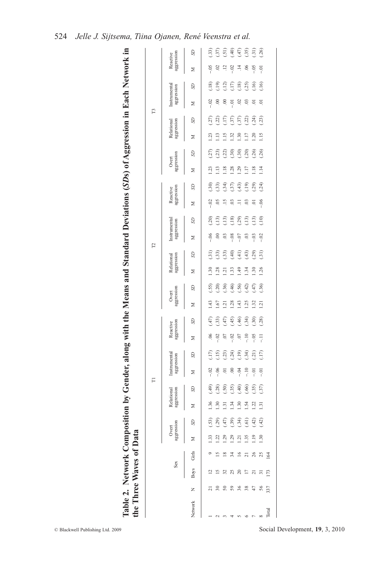Table 2. Network Composition by Gender, along with the Means and Standard Deviations (SDs) of Aggression in Each Network in Table 2. Network Composition by Gender, along with the Means and Standard Deviations (SDs) of Aggression in Each Network in the Three Waves of Data **the Three Waves of Data**

|     |                 |                |                 |                     |                          |                          | ╒                          |       |                        |                          |                     |                 |                          | 12                           |                            |                 |                        |                               |                     |                           |                          | F    |                            |                |                        |                 |
|-----|-----------------|----------------|-----------------|---------------------|--------------------------|--------------------------|----------------------------|-------|------------------------|--------------------------|---------------------|-----------------|--------------------------|------------------------------|----------------------------|-----------------|------------------------|-------------------------------|---------------------|---------------------------|--------------------------|------|----------------------------|----------------|------------------------|-----------------|
|     |                 | Sex            |                 | aggression<br>Overt | $\overline{\phantom{a}}$ | Relational<br>aggression | Instrumental<br>aggression |       | aggression<br>Reactive |                          | aggression<br>Overt |                 | aggression<br>Relational |                              | Instrumental<br>aggression |                 | aggression<br>Reactive |                               | aggression<br>Overt |                           | aggression<br>Relational |      | Instrumental<br>aggression |                | aggression<br>Reactive |                 |
|     | Boys            | Girls          | Σ               | SD                  | Σ                        | SD                       | Σ                          | SD    | ⋝                      | SD                       | ⋝                   | SD              | ⋝                        | SD                           | ⋝                          | SD              | ⋝                      | SD                            | ⋝                   | SD                        | Σ                        | SD   | ⋝                          | SD             | ⋝                      | SD              |
|     |                 |                | $\frac{133}{2}$ | (.53)               | 1.36                     | $\widehat{(-6)}$         | $-0.02$                    | S     | $\sim$                 | (47)                     | $^{143}$            | (55)            | 1.30                     | ີ.<br>.                      | $-0.06$                    | (20)            | $-02$                  | $\widetilde{\mathcal{L}}(30)$ | 123                 | (27)                      | $\frac{23}{2}$           | (27) | $-0.02$                    | $\frac{8}{18}$ | $-0.5$                 | 33)             |
|     | $\overline{15}$ | $\tilde{=}$    | 1.22            | (29)                | 1.30                     | .28)                     | $-0.06$                    | (15)  | $-02$                  | (.33)                    | 1.67                | (20)            | 1.28                     | 33)                          | S                          | $\frac{13}{2}$  | SO.                    | 33)                           | $\frac{13}{2}$      | (23)                      | Ê                        | (22) | S                          | (61)           | S                      | 37              |
|     | 32              | $\frac{8}{2}$  | 1.29            | (47)                | 1.31                     | $\widetilde{S}$          | 5.                         | (23)  | S                      | (47)                     | $\overline{121}$    | (.36)           | <u>ה</u>                 | 33)                          | $\ddot{\circ}$             | $\frac{3}{2}$   | Ë                      | 34)                           | 1.18                | (22)                      | Ê                        | ŒГ   | $\approx$                  | $\Xi$          | $\Xi$                  | $\overline{51}$ |
|     | 25              | 34             | 1.29            | (.39)               | 1.34                     | 35)                      | ş                          | (.24) | $-02$                  | (45)                     | 1.28                | $^{(46)}$       | 1.33                     | $\widehat{40}$               | $-0.8$                     | (18)            | S                      | (37)                          | 1.28                | $\widetilde{\mathcal{E}}$ | 1.32                     | (37) | Ξ                          | (17)           | $-02$                  | $\widehat{=}$   |
|     | 20              | $\geq$         | 1.21            | (.34)               | 1.30                     | $\widehat{=}$            | $-0.4$                     | (19)  | 5,                     | $\widehat{6}$            | 1.43                | (56)            | $\frac{49}{1}$           | $\left(14\right)$            | $-0.7$                     | (29)            | Ξ                      | (43)                          | 1.29                | (.30)                     | $^{1.30}$                | (37) | $\mathfrak{S}$             | $\frac{18}{2}$ | $\overline{14}$        | (47)            |
|     | $\overline{1}$  | $\overline{a}$ | 1.35            | $\widehat{5}$       | 1.54                     | $\odot$                  | $\frac{1}{1}$              | .34)  | $\frac{1}{1}$          | $\widetilde{C}$          | 1.25                | $\widetilde{A}$ | 1.34                     | $\left( \frac{1}{2} \right)$ | $\ddot{\circ}$             | $\overline{13}$ | S                      | (19)                          | E                   | (20)                      | E                        | (22) | S                          | (25)           | $\frac{6}{2}$          | (35)            |
| 47  | $\overline{z}$  | 26             | 1.19            | (42)                | 1.22                     | (.35)                    | $-0.1$                     | (21)  | $-0.5$                 | $\widetilde{\mathbf{5}}$ | 1.32                | (47)            | $^{1.30}$                | (29)                         | $-03$                      | 3               | ą                      | (29)                          | 1.18                | (26)                      | 1.20                     | (24) | ੜ                          | $\frac{6}{10}$ | $-0.5$                 | $\widehat{131}$ |
|     | $\overline{5}$  | 25             | 1.30            | (42)                | 1.31                     | (37)                     | $-0.1$                     | (17)  | 듀                      | (28)                     | 1.21                | (.36)           | 1.26                     | 31)                          | $-02$                      | (10)            | $-06$                  | (24)                          | $\frac{14}{11}$     | (26)                      | STI1                     | (23) | ತ                          | (16)           | - 01                   | (.26)           |
| 337 | E               | 164            |                 |                     |                          |                          |                            |       |                        |                          |                     |                 |                          |                              |                            |                 |                        |                               |                     |                           |                          |      |                            |                |                        |                 |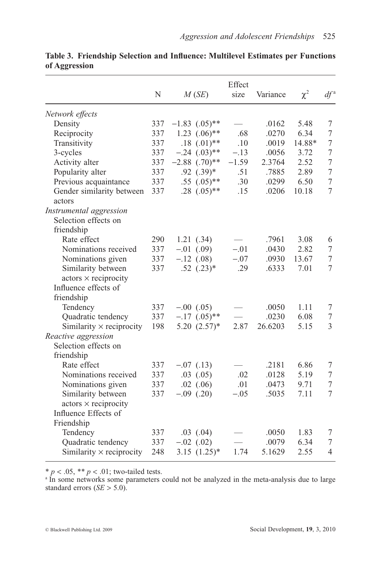|                                 | N   | M(SE)                         | Effect<br>size | Variance | $\chi^2$ | $df^{\mathfrak{a}}$ |
|---------------------------------|-----|-------------------------------|----------------|----------|----------|---------------------|
| Network effects                 |     |                               |                |          |          |                     |
| Density                         | 337 | $-1.83$ $(.05)$ <sup>**</sup> |                | .0162    | 5.48     | 7                   |
| Reciprocity                     | 337 | $1.23$ $(.06)$ **             | .68            | .0270    | 6.34     | $\tau$              |
| Transitivity                    | 337 | $.18$ $(.01)$ **              | .10            | .0019    | 14.88*   | $\tau$              |
| 3-cycles                        | 337 | $-.24$ $(.03)$ **             | $-.13$         | .0056    | 3.72     | $\tau$              |
| Activity alter                  | 337 | $-2.88$ $(.70)$ **            | $-1.59$        | 2.3764   | 2.52     | $\tau$              |
| Popularity alter                | 337 | $.92$ $(.39)*$                | .51            | .7885    | 2.89     | $\overline{7}$      |
| Previous acquaintance           | 337 | $.55$ $(.05)$ **              | .30            | .0299    | 6.50     | $\tau$              |
| Gender similarity between       | 337 | .28 $(.05)$ **                | .15            | .0206    | 10.18    | $\overline{7}$      |
| actors                          |     |                               |                |          |          |                     |
| Instrumental aggression         |     |                               |                |          |          |                     |
| Selection effects on            |     |                               |                |          |          |                     |
| friendship                      |     |                               |                |          |          |                     |
| Rate effect                     | 290 | 1.21(0.34)                    |                | .7961    | 3.08     | 6                   |
| Nominations received            | 337 | $-.01$ (.09)                  | $-.01$         | .0430    | 2.82     | 7                   |
| Nominations given               | 337 | $-.12$ (.08)                  | $-.07$         | .0930    | 13.67    | $\overline{7}$      |
| Similarity between              | 337 | $.52$ $(.23)*$                | .29            | .6333    | 7.01     | $\overline{7}$      |
| $actors \times reciprocity$     |     |                               |                |          |          |                     |
| Influence effects of            |     |                               |                |          |          |                     |
| friendship                      |     |                               |                |          |          |                     |
| Tendency                        | 337 | $-.00$ $(.05)$                |                | .0050    | 1.11     | 7                   |
| Quadratic tendency              | 337 | $-.17$ $(.05)$ <sup>**</sup>  |                | .0230    | 6.08     | 7                   |
| Similarity $\times$ reciprocity | 198 | $5.20(2.57)$ *                | 2.87           | 26.6203  | 5.15     | $\overline{3}$      |
| Reactive aggression             |     |                               |                |          |          |                     |
| Selection effects on            |     |                               |                |          |          |                     |
| friendship                      |     |                               |                |          |          |                     |
| Rate effect                     | 337 | $-.07$ $(.13)$                |                | .2181    | 6.86     | 7                   |
| Nominations received            | 337 | $.03$ $(.05)$                 | .02            | .0128    | 5.19     | 7                   |
| Nominations given               | 337 | $.02$ $(.06)$                 | .01            | .0473    | 9.71     | $\tau$              |
| Similarity between              | 337 | $-.09$ $(.20)$                | $-.05$         | .5035    | 7.11     | $\tau$              |
| $actors \times reciprocity$     |     |                               |                |          |          |                     |
| Influence Effects of            |     |                               |                |          |          |                     |
| Friendship                      |     |                               |                |          |          |                     |
| Tendency                        | 337 | $.03$ $(.04)$                 |                | .0050    | 1.83     | 7                   |
| Quadratic tendency              | 337 | $-.02$ (.02)                  |                | .0079    | 6.34     | $\tau$              |
| Similarity $\times$ reciprocity | 248 | $3.15$ $(1.25)^*$             | 1.74           | 5.1629   | 2.55     | $\overline{4}$      |

**Table 3. Friendship Selection and Influence: Multilevel Estimates per Functions of Aggression**

\* *p* < .05, \*\* *p* < .01; two-tailed tests.

<sup>a</sup> In some networks some parameters could not be analyzed in the meta-analysis due to large standard errors  $(SE > 5.0)$ .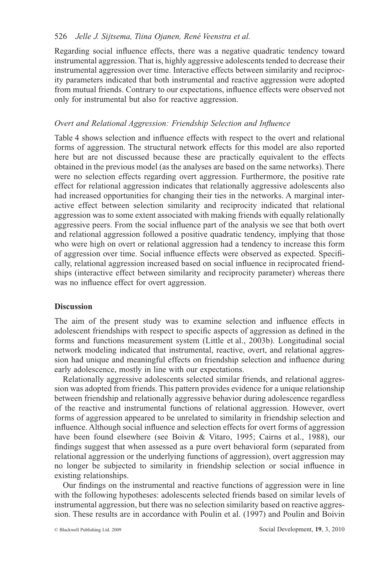Regarding social influence effects, there was a negative quadratic tendency toward instrumental aggression. That is, highly aggressive adolescents tended to decrease their instrumental aggression over time. Interactive effects between similarity and reciprocity parameters indicated that both instrumental and reactive aggression were adopted from mutual friends. Contrary to our expectations, influence effects were observed not only for instrumental but also for reactive aggression.

# *Overt and Relational Aggression: Friendship Selection and Influence*

Table 4 shows selection and influence effects with respect to the overt and relational forms of aggression. The structural network effects for this model are also reported here but are not discussed because these are practically equivalent to the effects obtained in the previous model (as the analyses are based on the same networks). There were no selection effects regarding overt aggression. Furthermore, the positive rate effect for relational aggression indicates that relationally aggressive adolescents also had increased opportunities for changing their ties in the networks. A marginal interactive effect between selection similarity and reciprocity indicated that relational aggression was to some extent associated with making friends with equally relationally aggressive peers. From the social influence part of the analysis we see that both overt and relational aggression followed a positive quadratic tendency, implying that those who were high on overt or relational aggression had a tendency to increase this form of aggression over time. Social influence effects were observed as expected. Specifically, relational aggression increased based on social influence in reciprocated friendships (interactive effect between similarity and reciprocity parameter) whereas there was no influence effect for overt aggression.

# **Discussion**

The aim of the present study was to examine selection and influence effects in adolescent friendships with respect to specific aspects of aggression as defined in the forms and functions measurement system (Little et al., 2003b). Longitudinal social network modeling indicated that instrumental, reactive, overt, and relational aggression had unique and meaningful effects on friendship selection and influence during early adolescence, mostly in line with our expectations.

Relationally aggressive adolescents selected similar friends, and relational aggression was adopted from friends. This pattern provides evidence for a unique relationship between friendship and relationally aggressive behavior during adolescence regardless of the reactive and instrumental functions of relational aggression. However, overt forms of aggression appeared to be unrelated to similarity in friendship selection and influence. Although social influence and selection effects for overt forms of aggression have been found elsewhere (see Boivin & Vitaro, 1995; Cairns et al., 1988), our findings suggest that when assessed as a pure overt behavioral form (separated from relational aggression or the underlying functions of aggression), overt aggression may no longer be subjected to similarity in friendship selection or social influence in existing relationships.

Our findings on the instrumental and reactive functions of aggression were in line with the following hypotheses: adolescents selected friends based on similar levels of instrumental aggression, but there was no selection similarity based on reactive aggression. These results are in accordance with Poulin et al. (1997) and Poulin and Boivin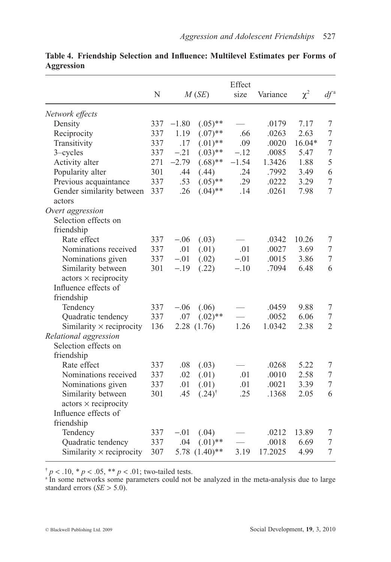|                                     | $\mathbf N$ |         | M(SE)                | Effect<br>size | Variance | $\chi^2$ | $df^{\mathrm{a}}$ |
|-------------------------------------|-------------|---------|----------------------|----------------|----------|----------|-------------------|
| Network effects                     |             |         |                      |                |          |          |                   |
| Density                             | 337         | $-1.80$ | $(.05)$ **           |                | .0179    | 7.17     | 7                 |
| Reciprocity                         | 337         | 1.19    | $(.07)$ **           | .66            | .0263    | 2.63     | $\tau$            |
| Transitivity                        | 337         | .17     | $(.01)$ **           | .09            | .0020    | 16.04*   | $\tau$            |
| $3$ -cycles                         | 337         | $-.21$  | $(.03)$ **           | $-.12$         | .0085    | 5.47     | $\boldsymbol{7}$  |
| Activity alter                      | 271         | $-2.79$ | $(.68)$ **           | $-1.54$        | 1.3426   | 1.88     | 5                 |
| Popularity alter                    | 301         | .44     | (.44)                | .24            | .7992    | 3.49     | 6                 |
| Previous acquaintance               | 337         | .53     | $(.05)$ **           | .29            | .0222    | 3.29     | $\tau$            |
| Gender similarity between<br>actors | 337         | .26     | $(.04)$ **           | .14            | .0261    | 7.98     | $\overline{7}$    |
| Overt aggression                    |             |         |                      |                |          |          |                   |
| Selection effects on<br>friendship  |             |         |                      |                |          |          |                   |
| Rate effect                         | 337         | $-.06$  | (.03)                |                | .0342    | 10.26    | 7                 |
| Nominations received                | 337         | .01     | (.01)                | .01            | .0027    | 3.69     | $\tau$            |
| Nominations given                   | 337         | $-.01$  | (.02)                | $-.01$         | .0015    | 3.86     | $\tau$            |
| Similarity between                  | 301         | $-.19$  | (.22)                | $-.10$         | .7094    | 6.48     | 6                 |
| $actors \times reciprocity$         |             |         |                      |                |          |          |                   |
| Influence effects of                |             |         |                      |                |          |          |                   |
| friendship                          |             |         |                      |                |          |          |                   |
| Tendency                            | 337         | $-.06$  | (.06)                |                | .0459    | 9.88     | 7                 |
| Quadratic tendency                  | 337         | .07     | $(.02)$ **           |                | .0052    | 6.06     | 7                 |
| Similarity $\times$ reciprocity     | 136         |         | 2.28 (1.76)          | 1.26           | 1.0342   | 2.38     | $\overline{2}$    |
| Relational aggression               |             |         |                      |                |          |          |                   |
| Selection effects on                |             |         |                      |                |          |          |                   |
| friendship                          |             |         |                      |                |          |          |                   |
| Rate effect                         | 337         | .08     | (.03)                |                | .0268    | 5.22     | 7                 |
| Nominations received                | 337         | .02     | (.01)                | .01            | .0010    | 2.58     | $\tau$            |
| Nominations given                   | 337         | .01     | (.01)                | .01            | .0021    | 3.39     | $\tau$            |
| Similarity between                  | 301         | .45     | $(.24)$ <sup>†</sup> | .25            | .1368    | 2.05     | 6                 |
| $actors \times reciprocity$         |             |         |                      |                |          |          |                   |
| Influence effects of                |             |         |                      |                |          |          |                   |
| friendship                          |             |         |                      |                |          |          |                   |
| Tendency                            | 337         | $-.01$  | (.04)                |                | .0212    | 13.89    | 7                 |
| Quadratic tendency                  | 337         | .04     | $(.01)$ **           |                | .0018    | 6.69     | $\tau$            |
| Similarity $\times$ reciprocity     | 307         |         | 5.78 (1.40)**        | 3.19           | 17.2025  | 4.99     | $\tau$            |

**Table 4. Friendship Selection and Influence: Multilevel Estimates per Forms of Aggression**

 $\frac{p}{p}$  < .10,  $\frac{k}{p}$  < .05,  $\frac{k}{p}$  < .01; two-tailed tests.

<sup>a</sup> In some networks some parameters could not be analyzed in the meta-analysis due to large standard errors (*SE* > 5.0).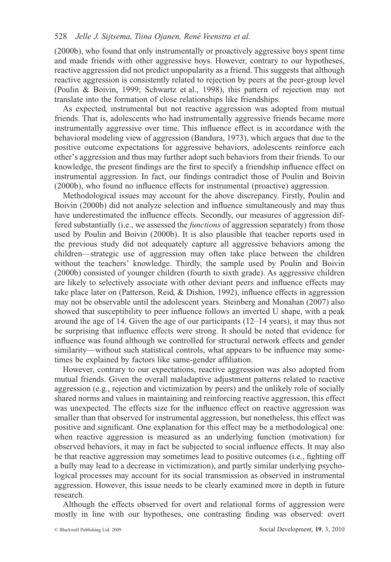(2000b), who found that only instrumentally or proactively aggressive boys spent time and made friends with other aggressive boys. However, contrary to our hypotheses, reactive aggression did not predict unpopularity as a friend. This suggests that although reactive aggression is consistently related to rejection by peers at the peer-group level (Poulin & Boivin, 1999; Schwartz et al., 1998), this pattern of rejection may not translate into the formation of close relationships like friendships.

As expected, instrumental but not reactive aggression was adopted from mutual friends. That is, adolescents who had instrumentally aggressive friends became more instrumentally aggressive over time. This influence effect is in accordance with the behavioral modeling view of aggression (Bandura, 1973), which argues that due to the positive outcome expectations for aggressive behaviors, adolescents reinforce each other's aggression and thus may further adopt such behaviors from their friends. To our knowledge, the present findings are the first to specify a friendship influence effect on instrumental aggression. In fact, our findings contradict those of Poulin and Boivin (2000b), who found no influence effects for instrumental (proactive) aggression.

Methodological issues may account for the above discrepancy. Firstly, Poulin and Boivin (2000b) did not analyze selection and influence simultaneously and may thus have underestimated the influence effects. Secondly, our measures of aggression differed substantially (i.e., we assessed the *functions* of aggression separately) from those used by Poulin and Boivin (2000b). It is also plausible that teacher reports used in the previous study did not adequately capture all aggressive behaviors among the children—strategic use of aggression may often take place between the children without the teachers' knowledge. Thirdly, the sample used by Poulin and Boivin (2000b) consisted of younger children (fourth to sixth grade). As aggressive children are likely to selectively associate with other deviant peers and influence effects may take place later on (Patterson, Reid, & Dishion, 1992), influence effects in aggression may not be observable until the adolescent years. Steinberg and Monahan (2007) also showed that susceptibility to peer influence follows an inverted U shape, with a peak around the age of 14. Given the age of our participants (12–14 years), it may thus not be surprising that influence effects were strong. It should be noted that evidence for influence was found although we controlled for structural network effects and gender similarity—without such statistical controls, what appears to be influence may sometimes be explained by factors like same-gender affiliation.

However, contrary to our expectations, reactive aggression was also adopted from mutual friends. Given the overall maladaptive adjustment patterns related to reactive aggression (e.g., rejection and victimization by peers) and the unlikely role of socially shared norms and values in maintaining and reinforcing reactive aggression, this effect was unexpected. The effects size for the influence effect on reactive aggression was smaller than that observed for instrumental aggression, but nonetheless, this effect was positive and significant. One explanation for this effect may be a methodological one: when reactive aggression is measured as an underlying function (motivation) for observed behaviors, it may in fact be subjected to social influence effects. It may also be that reactive aggression may sometimes lead to positive outcomes (i.e., fighting off a bully may lead to a decrease in victimization), and partly similar underlying psychological processes may account for its social transmission as observed in instrumental aggression. However, this issue needs to be clearly examined more in depth in future research.

Although the effects observed for overt and relational forms of aggression were mostly in line with our hypotheses, one contrasting finding was observed: overt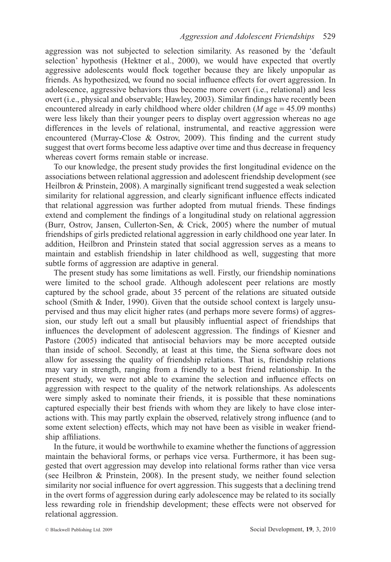aggression was not subjected to selection similarity. As reasoned by the 'default selection' hypothesis (Hektner et al., 2000), we would have expected that overtly aggressive adolescents would flock together because they are likely unpopular as friends. As hypothesized, we found no social influence effects for overt aggression. In adolescence, aggressive behaviors thus become more covert (i.e., relational) and less overt (i.e., physical and observable; Hawley, 2003). Similar findings have recently been encountered already in early childhood where older children (*M* age = 45.09 months) were less likely than their younger peers to display overt aggression whereas no age differences in the levels of relational, instrumental, and reactive aggression were encountered (Murray-Close & Ostrov, 2009). This finding and the current study suggest that overt forms become less adaptive over time and thus decrease in frequency whereas covert forms remain stable or increase.

To our knowledge, the present study provides the first longitudinal evidence on the associations between relational aggression and adolescent friendship development (see Heilbron & Prinstein, 2008). A marginally significant trend suggested a weak selection similarity for relational aggression, and clearly significant influence effects indicated that relational aggression was further adopted from mutual friends. These findings extend and complement the findings of a longitudinal study on relational aggression (Burr, Ostrov, Jansen, Cullerton-Sen, & Crick, 2005) where the number of mutual friendships of girls predicted relational aggression in early childhood one year later. In addition, Heilbron and Prinstein stated that social aggression serves as a means to maintain and establish friendship in later childhood as well, suggesting that more subtle forms of aggression are adaptive in general.

The present study has some limitations as well. Firstly, our friendship nominations were limited to the school grade. Although adolescent peer relations are mostly captured by the school grade, about 35 percent of the relations are situated outside school (Smith & Inder, 1990). Given that the outside school context is largely unsupervised and thus may elicit higher rates (and perhaps more severe forms) of aggression, our study left out a small but plausibly influential aspect of friendships that influences the development of adolescent aggression. The findings of Kiesner and Pastore (2005) indicated that antisocial behaviors may be more accepted outside than inside of school. Secondly, at least at this time, the Siena software does not allow for assessing the quality of friendship relations. That is, friendship relations may vary in strength, ranging from a friendly to a best friend relationship. In the present study, we were not able to examine the selection and influence effects on aggression with respect to the quality of the network relationships. As adolescents were simply asked to nominate their friends, it is possible that these nominations captured especially their best friends with whom they are likely to have close interactions with. This may partly explain the observed, relatively strong influence (and to some extent selection) effects, which may not have been as visible in weaker friendship affiliations.

In the future, it would be worthwhile to examine whether the functions of aggression maintain the behavioral forms, or perhaps vice versa. Furthermore, it has been suggested that overt aggression may develop into relational forms rather than vice versa (see Heilbron & Prinstein, 2008). In the present study, we neither found selection similarity nor social influence for overt aggression. This suggests that a declining trend in the overt forms of aggression during early adolescence may be related to its socially less rewarding role in friendship development; these effects were not observed for relational aggression.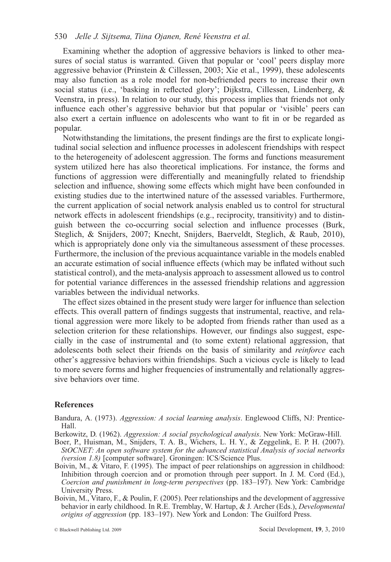Examining whether the adoption of aggressive behaviors is linked to other measures of social status is warranted. Given that popular or 'cool' peers display more aggressive behavior (Prinstein & Cillessen, 2003; Xie et al., 1999), these adolescents may also function as a role model for non-befriended peers to increase their own social status (i.e., 'basking in reflected glory'; Dijkstra, Cillessen, Lindenberg, & Veenstra, in press). In relation to our study, this process implies that friends not only influence each other's aggressive behavior but that popular or 'visible' peers can also exert a certain influence on adolescents who want to fit in or be regarded as popular.

Notwithstanding the limitations, the present findings are the first to explicate longitudinal social selection and influence processes in adolescent friendships with respect to the heterogeneity of adolescent aggression. The forms and functions measurement system utilized here has also theoretical implications. For instance, the forms and functions of aggression were differentially and meaningfully related to friendship selection and influence, showing some effects which might have been confounded in existing studies due to the intertwined nature of the assessed variables. Furthermore, the current application of social network analysis enabled us to control for structural network effects in adolescent friendships (e.g., reciprocity, transitivity) and to distinguish between the co-occurring social selection and influence processes (Burk, Steglich, & Snijders, 2007; Knecht, Snijders, Baerveldt, Steglich, & Raub, 2010), which is appropriately done only via the simultaneous assessment of these processes. Furthermore, the inclusion of the previous acquaintance variable in the models enabled an accurate estimation of social influence effects (which may be inflated without such statistical control), and the meta-analysis approach to assessment allowed us to control for potential variance differences in the assessed friendship relations and aggression variables between the individual networks.

The effect sizes obtained in the present study were larger for influence than selection effects. This overall pattern of findings suggests that instrumental, reactive, and relational aggression were more likely to be adopted from friends rather than used as a selection criterion for these relationships. However, our findings also suggest, especially in the case of instrumental and (to some extent) relational aggression, that adolescents both select their friends on the basis of similarity and *reinforce* each other's aggressive behaviors within friendships. Such a vicious cycle is likely to lead to more severe forms and higher frequencies of instrumentally and relationally aggressive behaviors over time.

#### **References**

Bandura, A. (1973). *Aggression: A social learning analysis*. Englewood Cliffs, NJ: Prentice-Hall.

Berkowitz, D. (1962). *Aggression: A social psychological analysis*. New York: McGraw-Hill.

- Boer, P., Huisman, M., Snijders, T. A. B., Wichers, L. H. Y., & Zeggelink, E. P. H. (2007). *StOCNET: An open software system for the advanced statistical Analysis of social networks (version 1.8)* [computer software]. Groningen: ICS/Science Plus.
- Boivin, M., & Vitaro, F. (1995). The impact of peer relationships on aggression in childhood: Inhibition through coercion and or promotion through peer support. In J. M. Cord (Ed.), *Coercion and punishment in long-term perspectives* (pp. 183–197). New York: Cambridge University Press.
- Boivin, M., Vitaro, F., & Poulin, F. (2005). Peer relationships and the development of aggressive behavior in early childhood. In R.E. Tremblay, W. Hartup, & J. Archer (Eds.), *Developmental origins of aggression* (pp. 183–197). New York and London: The Guilford Press.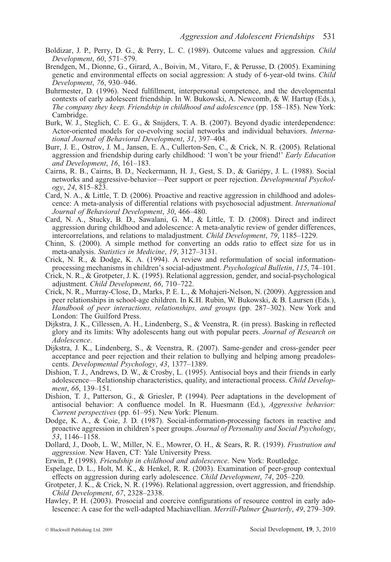- Boldizar, J. P., Perry, D. G., & Perry, L. C. (1989). Outcome values and aggression. *Child Development*, *60*, 571–579.
- Brendgen, M., Dionne, G., Girard, A., Boivin, M., Vitaro, F., & Perusse, D. (2005). Examining genetic and environmental effects on social aggression: A study of 6-year-old twins. *Child Development*, *76*, 930–946.
- Buhrmester, D. (1996). Need fulfillment, interpersonal competence, and the developmental contexts of early adolescent friendship. In W. Bukowski, A. Newcomb, & W. Hartup (Eds.), *The company they keep. Friendship in childhood and adolescence* (pp. 158–185). New York: Cambridge.
- Burk, W. J., Steglich, C. E. G., & Snijders, T. A. B. (2007). Beyond dyadic interdependence: Actor-oriented models for co-evolving social networks and individual behaviors. *International Journal of Behavioral Development*, *31*, 397–404.
- Burr, J. E., Ostrov, J. M., Jansen, E. A., Cullerton-Sen, C., & Crick, N. R. (2005). Relational aggression and friendship during early childhood: 'I won't be your friend!' *Early Education and Development*, *16*, 161–183.
- Cairns, R. B., Cairns, B. D., Neckermann, H. J., Gest, S. D., & Gariépy, J. L. (1988). Social networks and aggressive-behavior—Peer support or peer rejection. *Developmental Psychology*, *24*, 815–823.
- Card, N. A., & Little, T. D. (2006). Proactive and reactive aggression in childhood and adolescence: A meta-analysis of differential relations with psychosocial adjustment. *International Journal of Behavioral Development*, *30*, 466–480.
- Card, N. A., Stucky, B. D., Sawalani, G. M., & Little, T. D. (2008). Direct and indirect aggression during childhood and adolescence: A meta-analytic review of gender differences, intercorrelations, and relations to maladjustment. *Child Development*, *79*, 1185–1229.
- Chinn, S. (2000). A simple method for converting an odds ratio to effect size for us in meta-analysis. *Statistics in Medicine*, *19*, 3127–3131.
- Crick, N. R., & Dodge, K. A. (1994). A review and reformulation of social informationprocessing mechanisms in children's social-adjustment. *Psychological Bulletin*, *115*, 74–101.
- Crick, N. R., & Grotpeter, J. K. (1995). Relational aggression, gender, and social-psychological adjustment. *Child Development*, *66*, 710–722.
- Crick, N. R., Murray-Close, D., Marks, P. E. L., & Mohajeri-Nelson, N. (2009). Aggression and peer relationships in school-age children. In K.H. Rubin, W. Bukowski, & B. Laursen (Eds.), *Handbook of peer interactions, relationships, and groups* (pp. 287–302). New York and London: The Guilford Press.
- Dijkstra, J. K., Cillessen, A. H., Lindenberg, S., & Veenstra, R. (in press). Basking in reflected glory and its limits: Why adolescents hang out with popular peers. *Journal of Research on Adolescence*.
- Dijkstra, J. K., Lindenberg, S., & Veenstra, R. (2007). Same-gender and cross-gender peer acceptance and peer rejection and their relation to bullying and helping among preadolescents. *Developmental Psychology*, *43*, 1377–1389.
- Dishion, T. J., Andrews, D. W., & Crosby, L. (1995). Antisocial boys and their friends in early adolescence—Relationship characteristics, quality, and interactional process. *Child Development*, *66*, 139–151.
- Dishion, T. J., Patterson, G., & Griesler, P. (1994). Peer adaptations in the development of antisocial behavior: A confluence model. In R. Huesmann (Ed.), *Aggressive behavior: Current perspectives* (pp. 61–95). New York: Plenum.
- Dodge, K. A., & Coie, J. D. (1987). Social-information-processing factors in reactive and proactive aggression in children's peer groups. *Journal of Personality and Social Psychology*, *53*, 1146–1158.
- Dollard, J., Doob, L. W., Miller, N. E., Mowrer, O. H., & Sears, R. R. (1939). *Frustration and aggression*. New Haven, CT: Yale University Press.
- Erwin, P. (1998). *Friendship in childhood and adolescence*. New York: Routledge.
- Espelage, D. L., Holt, M. K., & Henkel, R. R. (2003). Examination of peer-group contextual effects on aggression during early adolescence. *Child Development*, *74*, 205–220.
- Grotpeter, J. K., & Crick, N. R. (1996). Relational aggression, overt aggression, and friendship. *Child Development*, *67*, 2328–2338.
- Hawley, P. H. (2003). Prosocial and coercive configurations of resource control in early adolescence: A case for the well-adapted Machiavellian. *Merrill-Palmer Quarterly*, *49*, 279–309.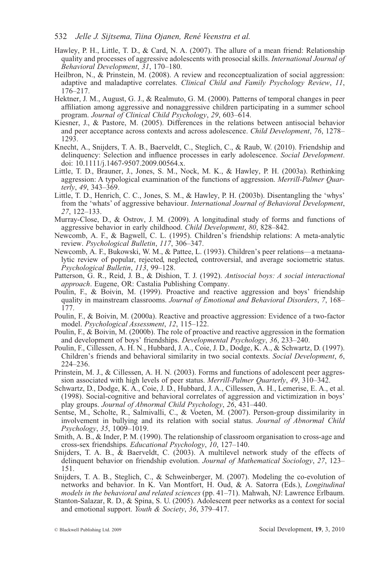- Hawley, P. H., Little, T. D., & Card, N. A. (2007). The allure of a mean friend: Relationship quality and processes of aggressive adolescents with prosocial skills. *International Journal of Behavioral Development*, *31*, 170–180.
- Heilbron, N., & Prinstein, M. (2008). A review and reconceptualization of social aggression: adaptive and maladaptive correlates. *Clinical Child and Family Psychology Review*, *11*, 176–217.
- Hektner, J. M., August, G. J., & Realmuto, G. M. (2000). Patterns of temporal changes in peer affiliation among aggressive and nonaggressive children participating in a summer school program. *Journal of Clinical Child Psychology*, *29*, 603–614.
- Kiesner, J., & Pastore, M. (2005). Differences in the relations between antisocial behavior and peer acceptance across contexts and across adolescence. *Child Development*, *76*, 1278– 1293.
- Knecht, A., Snijders, T. A. B., Baerveldt, C., Steglich, C., & Raub, W. (2010). Friendship and delinquency: Selection and influence processes in early adolescence. *Social Development*. doi: 10.1111/j.1467-9507.2009.00564.x.
- Little, T. D., Brauner, J., Jones, S. M., Nock, M. K., & Hawley, P. H. (2003a). Rethinking aggression: A typological examination of the functions of aggression. *Merrill-Palmer Quarterly*, *49*, 343–369.
- Little, T. D., Henrich, C. C., Jones, S. M., & Hawley, P. H. (2003b). Disentangling the 'whys' from the 'whats' of aggressive behaviour. *International Journal of Behavioral Development*, *27*, 122–133.
- Murray-Close, D., & Ostrov, J. M. (2009). A longitudinal study of forms and functions of aggressive behavior in early childhood. *Child Development*, *80*, 828–842.
- Newcomb, A. F., & Bagwell, C. L. (1995). Children's friendship relations: A meta-analytic review. *Psychological Bulletin*, *117*, 306–347.
- Newcomb, A. F., Bukowski, W. M., & Pattee, L. (1993). Children's peer relations—a metaanalytic review of popular, rejected, neglected, controversial, and average sociometric status. *Psychological Bulletin*, *113*, 99–128.
- Patterson, G. R., Reid, J. B., & Dishion, T. J. (1992). *Antisocial boys: A social interactional approach*. Eugene, OR: Castalia Publishing Company.
- Poulin, F., & Boivin, M. (1999). Proactive and reactive aggression and boys' friendship quality in mainstream classrooms. *Journal of Emotional and Behavioral Disorders*, *7*, 168– 177.
- Poulin, F., & Boivin, M. (2000a). Reactive and proactive aggression: Evidence of a two-factor model. *Psychological Assessment*, *12*, 115–122.
- Poulin, F., & Boivin, M. (2000b). The role of proactive and reactive aggression in the formation and development of boys' friendships. *Developmental Psychology*, *36*, 233–240.
- Poulin, F., Cillessen, A. H. N., Hubbard, J. A., Coie, J. D., Dodge, K. A., & Schwartz, D. (1997). Children's friends and behavioral similarity in two social contexts. *Social Development*, *6*, 224–236.
- Prinstein, M. J., & Cillessen, A. H. N. (2003). Forms and functions of adolescent peer aggression associated with high levels of peer status. *Merrill-Palmer Quarterly*, *49*, 310–342.
- Schwartz, D., Dodge, K. A., Coie, J. D., Hubbard, J. A., Cillessen, A. H., Lemerise, E. A., et al. (1998). Social-cognitive and behavioral correlates of aggression and victimization in boys' play groups. *Journal of Abnormal Child Psychology*, *26*, 431–440.
- Sentse, M., Scholte, R., Salmivalli, C., & Voeten, M. (2007). Person-group dissimilarity in involvement in bullying and its relation with social status. *Journal of Abnormal Child Psychology*, *35*, 1009–1019.
- Smith, A. B., & Inder, P. M. (1990). The relationship of classroom organisation to cross-age and cross-sex friendships. *Educational Psychology*, *10*, 127–140.
- Snijders, T. A. B., & Baerveldt, C. (2003). A multilevel network study of the effects of delinquent behavior on friendship evolution. *Journal of Mathematical Sociology*, *27*, 123– 151.
- Snijders, T. A. B., Steglich, C., & Schweinberger, M. (2007). Modeling the co-evolution of networks and behavior. In K. Van Montfort, H. Oud, & A. Satorra (Eds.), *Longitudinal models in the behavioral and related sciences* (pp. 41–71). Mahwah, NJ: Lawrence Erlbaum.
- Stanton-Salazar, R. D., & Spina, S. U. (2005). Adolescent peer networks as a context for social and emotional support. *Youth & Society*, *36*, 379–417.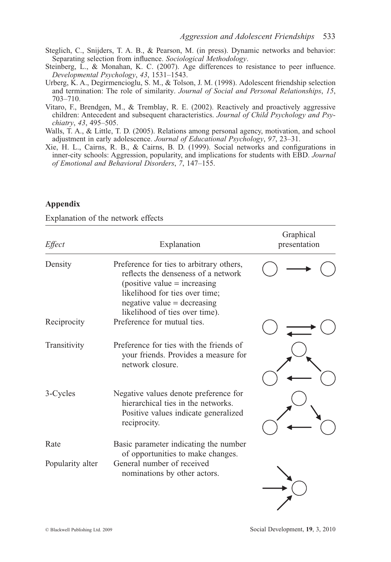Steglich, C., Snijders, T. A. B., & Pearson, M. (in press). Dynamic networks and behavior: Separating selection from influence. *Sociological Methodology*.

- Steinberg, L., & Monahan, K. C. (2007). Age differences to resistance to peer influence. *Developmental Psychology*, *43*, 1531–1543.
- Urberg, K. A., Degirmencioglu, S. M., & Tolson, J. M. (1998). Adolescent friendship selection and termination: The role of similarity. *Journal of Social and Personal Relationships*, *15*, 703–710.
- Vitaro, F., Brendgen, M., & Tremblay, R. E. (2002). Reactively and proactively aggressive children: Antecedent and subsequent characteristics. *Journal of Child Psychology and Psychiatry*, *43*, 495–505.
- Walls, T. A., & Little, T. D. (2005). Relations among personal agency, motivation, and school adjustment in early adolescence. *Journal of Educational Psychology*, *97*, 23–31.
- Xie, H. L., Cairns, R. B., & Cairns, B. D. (1999). Social networks and configurations in inner-city schools: Aggression, popularity, and implications for students with EBD. *Journal of Emotional and Behavioral Disorders*, *7*, 147–155.

## **Appendix**

Explanation of the network effects

| Effect           | Explanation                                                                                                                                                                                                             | Graphical<br>presentation |
|------------------|-------------------------------------------------------------------------------------------------------------------------------------------------------------------------------------------------------------------------|---------------------------|
| Density          | Preference for ties to arbitrary others,<br>reflects the denseness of a network<br>$(positive value = increasing)$<br>likelihood for ties over time;<br>$negative value = decreasing$<br>likelihood of ties over time). |                           |
| Reciprocity      | Preference for mutual ties.                                                                                                                                                                                             |                           |
| Transitivity     | Preference for ties with the friends of<br>your friends. Provides a measure for<br>network closure.                                                                                                                     |                           |
| 3-Cycles         | Negative values denote preference for<br>hierarchical ties in the networks.<br>Positive values indicate generalized<br>reciprocity.                                                                                     |                           |
| Rate             | Basic parameter indicating the number<br>of opportunities to make changes.                                                                                                                                              |                           |
| Popularity alter | General number of received<br>nominations by other actors.                                                                                                                                                              |                           |

© Blackwell Publishing Ltd. 2009 Social Development, **19**, 3, 2010